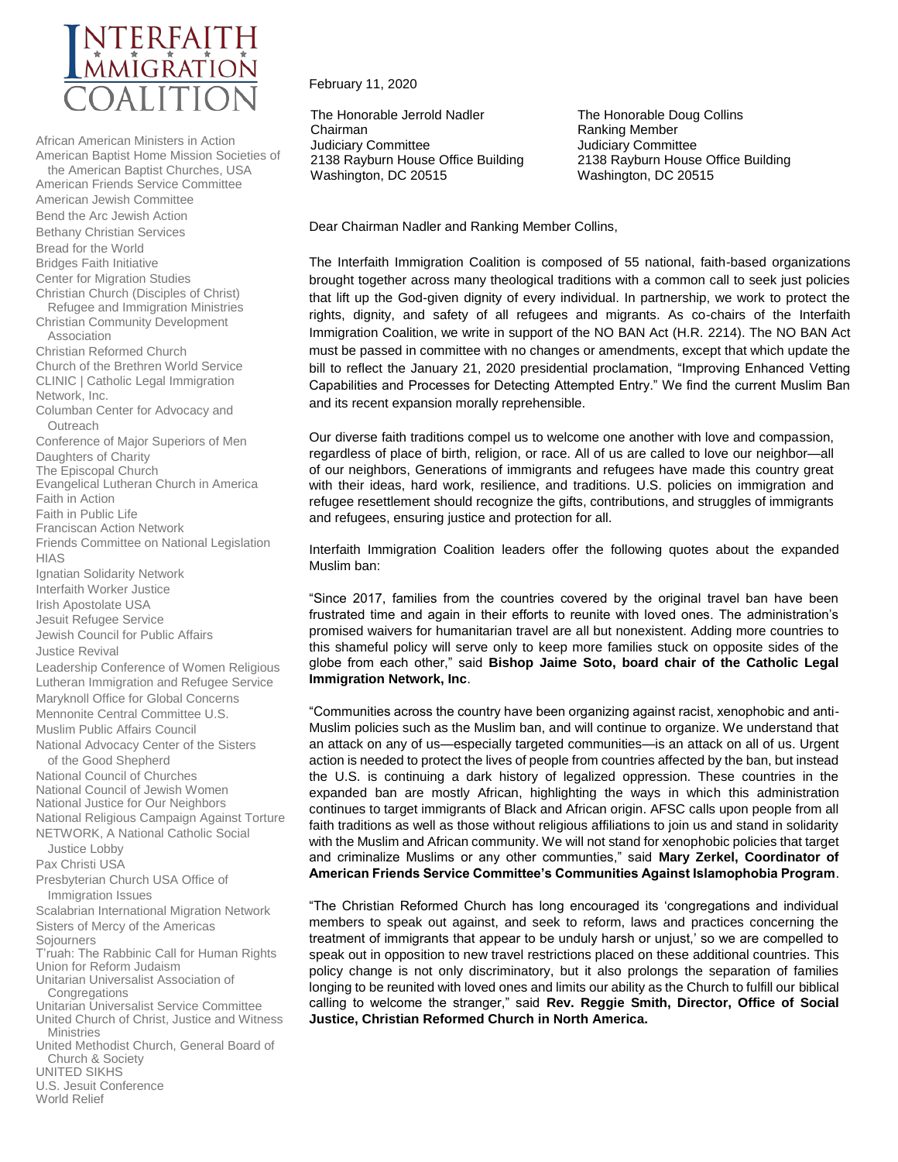

African American Ministers in Action American Baptist Home Mission Societies of the American Baptist Churches, USA American Friends Service Committee American Jewish Committee Bend the Arc Jewish Action Bethany Christian Services Bread for the World Bridges Faith Initiative Center for Migration Studies Christian Church (Disciples of Christ) Refugee and Immigration Ministries Christian Community Development Association Christian Reformed Church Church of the Brethren World Service CLINIC | Catholic Legal Immigration Network, Inc. Columban Center for Advocacy and **Outreach** Conference of Major Superiors of Men Daughters of Charity The Episcopal Church Evangelical Lutheran Church in America Faith in Action Faith in Public Life Franciscan Action Network Friends Committee on National Legislation HIAS Ignatian Solidarity Network Interfaith Worker Justice Irish Apostolate USA Jesuit Refugee Service Jewish Council for Public Affairs Justice Revival Leadership Conference of Women Religious Lutheran Immigration and Refugee Service Maryknoll Office for Global Concerns Mennonite Central Committee U.S. Muslim Public Affairs Council National Advocacy Center of the Sisters of the Good Shepherd National Council of Churches National Council of Jewish Women National Justice for Our Neighbors National Religious Campaign Against Torture NETWORK, A National Catholic Social Justice Lobby Pax Christi USA Presbyterian Church USA Office of Immigration Issues Scalabrian International Migration Network Sisters of Mercy of the Americas **Sojourners** T'ruah: The Rabbinic Call for Human Rights Union for Reform Judaism Unitarian Universalist Association of **Congregations** Unitarian Universalist Service Committee United Church of Christ, Justice and Witness **Ministries** United Methodist Church, General Board of Church & Society

UNITED SIKHS

U.S. Jesuit Conference

World Relief

## February 11, 2020

The Honorable Jerrold Nadler Chairman Judiciary Committee 2138 Rayburn House Office Building Washington, DC 20515

The Honorable Doug Collins Ranking Member Judiciary Committee 2138 Rayburn House Office Building Washington, DC 20515

Dear Chairman Nadler and Ranking Member Collins,

The Interfaith Immigration Coalition is composed of 55 national, faith-based organizations brought together across many theological traditions with a common call to seek just policies that lift up the God-given dignity of every individual. In partnership, we work to protect the rights, dignity, and safety of all refugees and migrants. As co-chairs of the Interfaith Immigration Coalition, we write in support of the NO BAN Act (H.R. 2214). The NO BAN Act must be passed in committee with no changes or amendments, except that which update the bill to reflect the January 21, 2020 presidential proclamation, "Improving Enhanced Vetting Capabilities and Processes for Detecting Attempted Entry." We find the current Muslim Ban and its recent expansion morally reprehensible.

Our diverse faith traditions compel us to welcome one another with love and compassion, regardless of place of birth, religion, or race. All of us are called to love our neighbor—all of our neighbors, Generations of immigrants and refugees have made this country great with their ideas, hard work, resilience, and traditions. U.S. policies on immigration and refugee resettlement should recognize the gifts, contributions, and struggles of immigrants and refugees, ensuring justice and protection for all.

Interfaith Immigration Coalition leaders offer the following quotes about the expanded Muslim ban:

"Since 2017, families from the countries covered by the original travel ban have been frustrated time and again in their efforts to reunite with loved ones. The administration's promised waivers for humanitarian travel are all but nonexistent. Adding more countries to this shameful policy will serve only to keep more families stuck on opposite sides of the globe from each other," said **Bishop Jaime Soto, board chair of the Catholic Legal Immigration Network, Inc**.

"Communities across the country have been organizing against racist, xenophobic and anti-Muslim policies such as the Muslim ban, and will continue to organize. We understand that an attack on any of us—especially targeted communities—is an attack on all of us. Urgent action is needed to protect the lives of people from countries affected by the ban, but instead the U.S. is continuing a dark history of legalized oppression. These countries in the expanded ban are mostly African, highlighting the ways in which this administration continues to target immigrants of Black and African origin. AFSC calls upon people from all faith traditions as well as those without religious affiliations to join us and stand in solidarity with the Muslim and African community. We will not stand for xenophobic policies that target and criminalize Muslims or any other communties," said **Mary Zerkel, Coordinator of American Friends Service Committee's Communities Against Islamophobia Program**.

"The Christian Reformed Church has long encouraged its 'congregations and individual members to speak out against, and seek to reform, laws and practices concerning the treatment of immigrants that appear to be unduly harsh or unjust,' so we are compelled to speak out in opposition to new travel restrictions placed on these additional countries. This policy change is not only discriminatory, but it also prolongs the separation of families longing to be reunited with loved ones and limits our ability as the Church to fulfill our biblical calling to welcome the stranger," said **Rev. Reggie Smith, Director, Office of Social Justice, Christian Reformed Church in North America.**